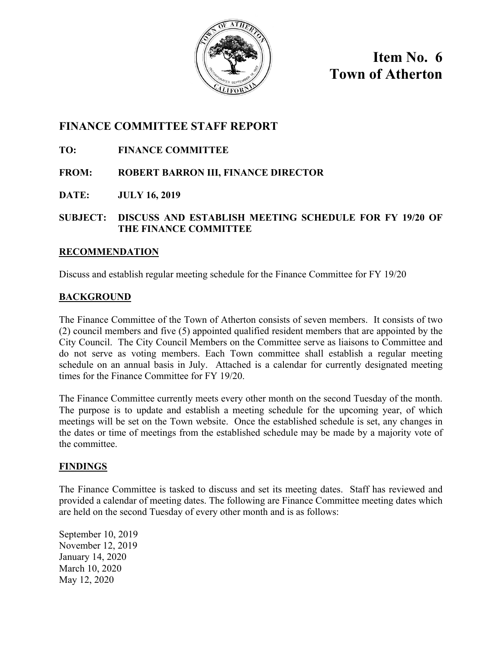

**Item No. 6 Town of Atherton** 

## **FINANCE COMMITTEE STAFF REPORT**

### **TO: FINANCE COMMITTEE**

### **FROM: ROBERT BARRON III, FINANCE DIRECTOR**

**DATE: JULY 16, 2019** 

#### **SUBJECT: DISCUSS AND ESTABLISH MEETING SCHEDULE FOR FY 19/20 OF THE FINANCE COMMITTEE**

#### **RECOMMENDATION**

Discuss and establish regular meeting schedule for the Finance Committee for FY 19/20

### **BACKGROUND**

The Finance Committee of the Town of Atherton consists of seven members. It consists of two (2) council members and five (5) appointed qualified resident members that are appointed by the City Council. The City Council Members on the Committee serve as liaisons to Committee and do not serve as voting members. Each Town committee shall establish a regular meeting schedule on an annual basis in July. Attached is a calendar for currently designated meeting times for the Finance Committee for FY 19/20.

The Finance Committee currently meets every other month on the second Tuesday of the month. The purpose is to update and establish a meeting schedule for the upcoming year, of which meetings will be set on the Town website. Once the established schedule is set, any changes in the dates or time of meetings from the established schedule may be made by a majority vote of the committee.

#### **FINDINGS**

The Finance Committee is tasked to discuss and set its meeting dates. Staff has reviewed and provided a calendar of meeting dates. The following are Finance Committee meeting dates which are held on the second Tuesday of every other month and is as follows:

September 10, 2019 November 12, 2019 January 14, 2020 March 10, 2020 May 12, 2020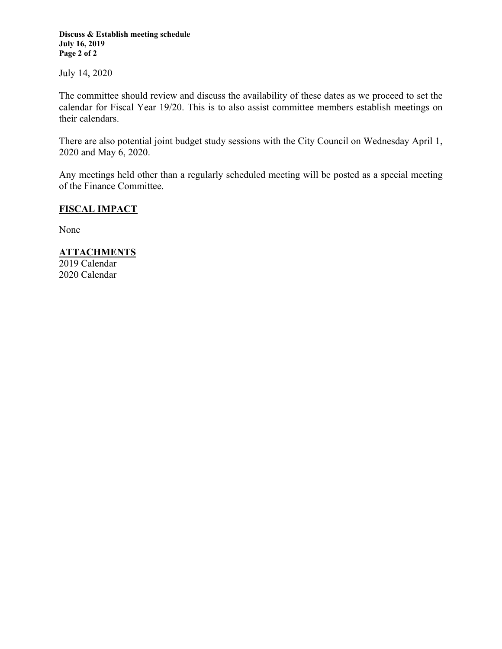**Discuss & Establish meeting schedule July 16, 2019 Page 2 of 2** 

July 14, 2020

The committee should review and discuss the availability of these dates as we proceed to set the calendar for Fiscal Year 19/20. This is to also assist committee members establish meetings on their calendars.

There are also potential joint budget study sessions with the City Council on Wednesday April 1, 2020 and May 6, 2020.

Any meetings held other than a regularly scheduled meeting will be posted as a special meeting of the Finance Committee.

#### **FISCAL IMPACT**

None

#### **ATTACHMENTS**

2019 Calendar 2020 Calendar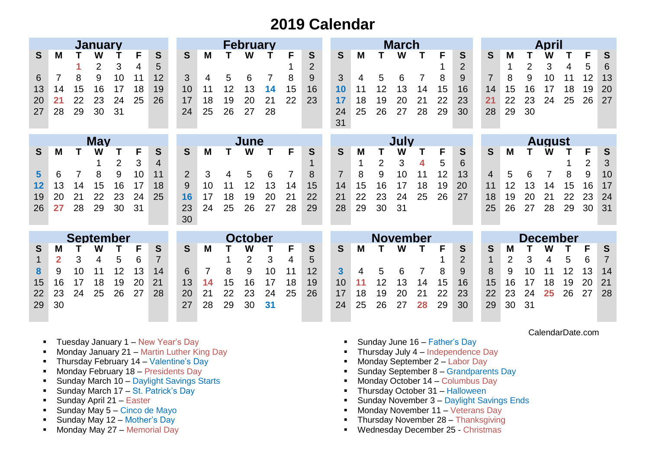# **2019 Calendar**

|                  |                |    | <b>January</b> |                |    |                |                | <b>February</b> |    |    |    |      |                |                 |    | <b>March</b> |    |    |               |                |                 |                |    | <b>April</b> |    |    |                |  |  |  |  |
|------------------|----------------|----|----------------|----------------|----|----------------|----------------|-----------------|----|----|----|------|----------------|-----------------|----|--------------|----|----|---------------|----------------|-----------------|----------------|----|--------------|----|----|----------------|--|--|--|--|
| S                | M              |    | W              |                | F  | S              | S              | М               |    | W  |    | F    | S              | S               | M  |              | W  |    | F             | S              | S               | M              |    |              |    | F  | S              |  |  |  |  |
|                  |                |    | $\overline{2}$ | 3              | 4  | 5              |                |                 |    |    |    |      | $\overline{2}$ |                 |    |              |    |    |               | $\overline{2}$ |                 | 1              | 2  | 3            | 4  | 5  | 6              |  |  |  |  |
| 6                |                | 8  | 9              | 10             | 11 | 12             | 3              | 4               | 5  | 6  |    | 8    | 9              | 3               | 4  | 5            | 6  |    | 8             | 9              | $\overline{7}$  | 8              | 9  | 10           | 11 | 12 | 13             |  |  |  |  |
| 13               | 14             | 15 | 16             | 17             | 18 | 19             | 10             |                 | 12 | 13 | 14 | 15   | 16             | 10              | 11 | 12           | 13 | 14 | 15            | 16             | 14              | 15             | 16 | 17           | 18 | 19 | 20             |  |  |  |  |
| 20               | 21             | 22 | 23             | 24             | 25 | 26             | 17             | 18              | 19 | 20 | 21 | 22   | 23             | 17              | 18 | 19           | 20 | 21 | 22            | 23             | 21              | 22             | 23 | 24           | 25 | 26 | 27             |  |  |  |  |
| 27               | 28             | 29 | 30             | 31             |    |                | 24             | 25              | 26 | 27 | 28 |      |                | 24              | 25 | 26           | 27 | 28 | 29            | 30             | 28              | 29             | 30 |              |    |    |                |  |  |  |  |
|                  |                |    |                |                |    |                |                |                 |    |    |    |      |                | 31              |    |              |    |    |               |                |                 |                |    |              |    |    |                |  |  |  |  |
|                  |                |    |                |                |    |                |                |                 |    |    |    |      |                |                 |    |              |    |    |               |                |                 |                |    |              |    |    |                |  |  |  |  |
|                  | <b>May</b>     |    |                |                |    |                | June           |                 |    |    |    | July |                |                 |    |              |    |    | <b>August</b> |                |                 |                |    |              |    |    |                |  |  |  |  |
| S                | M              |    | W              |                | F  | S              | S              | м               |    | W  |    | F    | S              | S               | M  |              | W  |    | F             | S              | S               | M              |    | W            |    | F  | S              |  |  |  |  |
|                  |                |    |                | $\overline{2}$ | 3  | 4              |                |                 |    |    |    |      |                |                 | 1  | 2            | 3  | 4  | 5             | 6              |                 |                |    |              |    | 2  | 3              |  |  |  |  |
| $5\phantom{1}$   | 6              |    | 8              | 9              | 10 | 11             | $\overline{2}$ | 3               | 4  | 5  | 6  | 7    | 8              | $\overline{7}$  | 8  | 9            | 10 | 11 | 12            | 13             | $\overline{4}$  | 5              | 6  | 7            | 8  | 9  | 10             |  |  |  |  |
| 12               | 13             | 14 | 15             | 16             | 17 | 18             | 9              | 10              | 11 | 12 | 13 | 14   | 15             | 14              | 15 | 16           | 17 | 18 | 19            | 20             | 11              | 12             | 13 | 14           | 15 | 16 | 17             |  |  |  |  |
| 19               | 20             | 21 | 22             | 23             | 24 | 25             | 16             | 17              | 18 | 19 | 20 | 21   | 22             | 21              | 22 | 23           | 24 | 25 | 26            | 27             | 18              | 19             | 20 | 21           | 22 | 23 | 24             |  |  |  |  |
| 26               | 27             | 28 | 29             | 30             | 31 |                | 23             | 24              | 25 | 26 | 27 | 28   | 29             | 28              | 29 | 30           | 31 |    |               |                | 25              | 26             | 27 | 28           | 29 | 30 | 31             |  |  |  |  |
|                  |                |    |                |                |    |                | 30             |                 |    |    |    |      |                |                 |    |              |    |    |               |                |                 |                |    |              |    |    |                |  |  |  |  |
| <b>September</b> |                |    |                |                |    |                | <b>October</b> |                 |    |    |    |      |                | <b>November</b> |    |              |    |    |               |                | <b>December</b> |                |    |              |    |    |                |  |  |  |  |
| S                | M              |    | W              |                | F  | S              | S              | M               |    | W  |    | F    | S              | S               | M  |              | W  |    | F             | S              | S               | M              |    | W            |    | F  | S              |  |  |  |  |
|                  | $\overline{2}$ | 3  | 4              | 5              | 6  | $\overline{7}$ |                |                 |    | 2  | 3  | 4    | 5              |                 |    |              |    |    |               | $\overline{2}$ | 1               | $\overline{2}$ | 3  | 4            | 5  | 6  | $\overline{7}$ |  |  |  |  |
| 8                | 9              | 10 |                | 12             | 13 | 14             | 6              |                 | 8  | 9  | 10 | 11   | 12             | 3               | 4  | 5            | 6  |    | 8             | 9              | 8               | 9              | 10 |              | 12 | 13 | 14             |  |  |  |  |
| 15               | 16             | 17 | 18             | 19             | 20 | 21             | 13             | 14              | 15 | 16 | 17 | 18   | 19             | 10              | 11 | 12           | 13 | 14 | 15            | 16             | 15              | 16             | 17 | 18           | 19 | 20 | 21             |  |  |  |  |
| 22               | 23             | 24 | 25             | 26             | 27 | 28             | 20             | 21              | 22 | 23 | 24 | 25   | 26             | 17              | 18 | 19           | 20 |    | 22            | 23             | 22              | 23             | 24 | 25           | 26 | 27 | 28             |  |  |  |  |
| 29               | 30             |    |                |                |    |                | 27             | 28              | 29 | 30 | 31 |      |                | 24              | 25 | 26           | 27 | 28 | 29            | 30             | 29              | 30             | 31 |              |    |    |                |  |  |  |  |
|                  |                |    |                |                |    |                |                |                 |    |    |    |      |                |                 |    |              |    |    |               |                |                 |                |    |              |    |    |                |  |  |  |  |

- **Tuesday January 1 New Year's Day**
- **Monday January 21 Martin Luther King Day**
- **Thursday February 14 Valentine's Day**
- **Monday February 18 Presidents Day**
- **Sunday March 10 Daylight Savings Starts**
- Sunday March 17 St. Patrick's Day
- **Sunday April 21 Easter**
- Sunday May  $5 -$ Cinco de Mayo
- Sunday May  $12 -$  Mother's Day
- Monday May 27 Memorial Day
- Sunday June  $16 -$  Father's Day
- $\blacksquare$  Thursday July 4 Independence Day
- **Monday September 2 Labor Day**
- **Sunday September 8 Grandparents Day**
- **Monday October 14 Columbus Day**
- Thursday October 31 Halloween
- **Sunday November 3 Daylight Savings Ends**
- **Monday November 11 Veterans Day**
- **Thursday November 28 Thanksgiving**
- **Wednesday December 25 Christmas**

#### CalendarDate.com